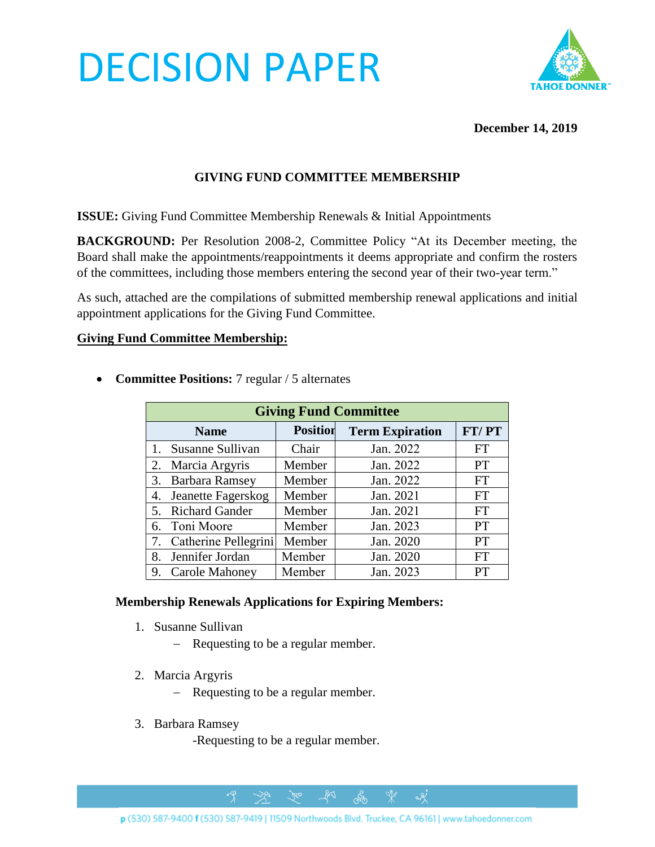# DECISION PAPER



#### **December 14, 2019**

## **GIVING FUND COMMITTEE MEMBERSHIP**

**ISSUE:** Giving Fund Committee Membership Renewals & Initial Appointments

**BACKGROUND:** Per Resolution 2008-2, Committee Policy "At its December meeting, the Board shall make the appointments/reappointments it deems appropriate and confirm the rosters of the committees, including those members entering the second year of their two-year term."

As such, attached are the compilations of submitted membership renewal applications and initial appointment applications for the Giving Fund Committee.

#### **Giving Fund Committee Membership:**

| <b>Giving Fund Committee</b> |                 |                        |           |
|------------------------------|-----------------|------------------------|-----------|
| <b>Name</b>                  | <b>Position</b> | <b>Term Expiration</b> | FT/PT     |
| 1. Susanne Sullivan          | Chair           | Jan. 2022              | <b>FT</b> |
| 2. Marcia Argyris            | Member          | Jan. 2022              | <b>PT</b> |
| 3. Barbara Ramsey            | Member          | Jan. 2022              | <b>FT</b> |
| Jeanette Fagerskog<br>4.     | Member          | Jan. 2021              | <b>FT</b> |
| 5. Richard Gander            | Member          | Jan. 2021              | <b>FT</b> |
| 6. Toni Moore                | Member          | Jan. 2023              | <b>PT</b> |
| 7. Catherine Pellegrini      | Member          | Jan. 2020              | <b>PT</b> |
| 8. Jennifer Jordan           | Member          | Jan. 2020              | <b>FT</b> |
| 9. Carole Mahoney            | Member          | Jan. 2023              | PT        |

• **Committee Positions:** 7 regular / 5 alternates

#### **Membership Renewals Applications for Expiring Members:**

- 1. Susanne Sullivan
	- − Requesting to be a regular member.
- 2. Marcia Argyris
	- − Requesting to be a regular member.

 $\rightarrow \hspace{-1em} \rightarrow$ 

- 3. Barbara Ramsey
	- -Requesting to be a regular member.

 $\gamma$ 

 $281$ 

ക്ക

 $\alpha$